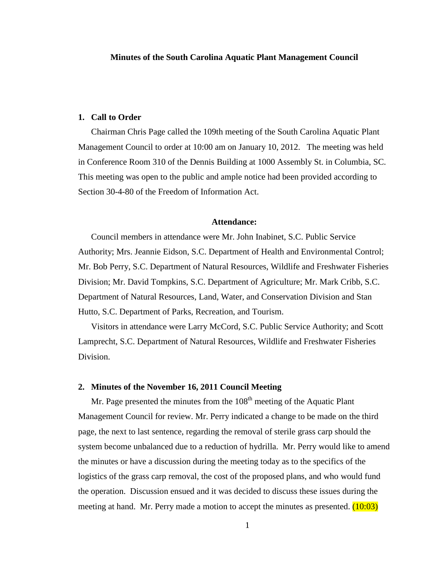## **Minutes of the South Carolina Aquatic Plant Management Council**

### **1. Call to Order**

Chairman Chris Page called the 109th meeting of the South Carolina Aquatic Plant Management Council to order at 10:00 am on January 10, 2012. The meeting was held in Conference Room 310 of the Dennis Building at 1000 Assembly St. in Columbia, SC. This meeting was open to the public and ample notice had been provided according to Section 30-4-80 of the Freedom of Information Act.

### **Attendance:**

Council members in attendance were Mr. John Inabinet, S.C. Public Service Authority; Mrs. Jeannie Eidson, S.C. Department of Health and Environmental Control; Mr. Bob Perry, S.C. Department of Natural Resources, Wildlife and Freshwater Fisheries Division; Mr. David Tompkins, S.C. Department of Agriculture; Mr. Mark Cribb, S.C. Department of Natural Resources, Land, Water, and Conservation Division and Stan Hutto, S.C. Department of Parks, Recreation, and Tourism.

Visitors in attendance were Larry McCord, S.C. Public Service Authority; and Scott Lamprecht, S.C. Department of Natural Resources, Wildlife and Freshwater Fisheries Division.

# **2. Minutes of the November 16, 2011 Council Meeting**

Mr. Page presented the minutes from the  $108<sup>th</sup>$  meeting of the Aquatic Plant Management Council for review. Mr. Perry indicated a change to be made on the third page, the next to last sentence, regarding the removal of sterile grass carp should the system become unbalanced due to a reduction of hydrilla. Mr. Perry would like to amend the minutes or have a discussion during the meeting today as to the specifics of the logistics of the grass carp removal, the cost of the proposed plans, and who would fund the operation. Discussion ensued and it was decided to discuss these issues during the meeting at hand. Mr. Perry made a motion to accept the minutes as presented.  $(10:03)$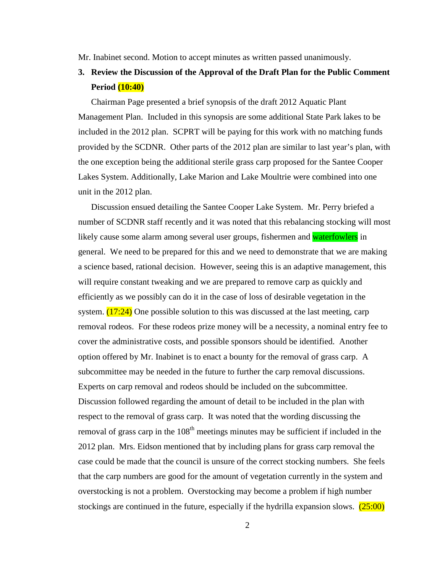Mr. Inabinet second. Motion to accept minutes as written passed unanimously.

# **3. Review the Discussion of the Approval of the Draft Plan for the Public Comment Period (10:40)**

Chairman Page presented a brief synopsis of the draft 2012 Aquatic Plant Management Plan. Included in this synopsis are some additional State Park lakes to be included in the 2012 plan. SCPRT will be paying for this work with no matching funds provided by the SCDNR. Other parts of the 2012 plan are similar to last year's plan, with the one exception being the additional sterile grass carp proposed for the Santee Cooper Lakes System. Additionally, Lake Marion and Lake Moultrie were combined into one unit in the 2012 plan.

Discussion ensued detailing the Santee Cooper Lake System. Mr. Perry briefed a number of SCDNR staff recently and it was noted that this rebalancing stocking will most likely cause some alarm among several user groups, fishermen and waterfowlers in general. We need to be prepared for this and we need to demonstrate that we are making a science based, rational decision. However, seeing this is an adaptive management, this will require constant tweaking and we are prepared to remove carp as quickly and efficiently as we possibly can do it in the case of loss of desirable vegetation in the system.  $(17:24)$  One possible solution to this was discussed at the last meeting, carp removal rodeos. For these rodeos prize money will be a necessity, a nominal entry fee to cover the administrative costs, and possible sponsors should be identified. Another option offered by Mr. Inabinet is to enact a bounty for the removal of grass carp. A subcommittee may be needed in the future to further the carp removal discussions. Experts on carp removal and rodeos should be included on the subcommittee. Discussion followed regarding the amount of detail to be included in the plan with respect to the removal of grass carp. It was noted that the wording discussing the removal of grass carp in the  $108<sup>th</sup>$  meetings minutes may be sufficient if included in the 2012 plan. Mrs. Eidson mentioned that by including plans for grass carp removal the case could be made that the council is unsure of the correct stocking numbers. She feels that the carp numbers are good for the amount of vegetation currently in the system and overstocking is not a problem. Overstocking may become a problem if high number stockings are continued in the future, especially if the hydrilla expansion slows.  $(25:00)$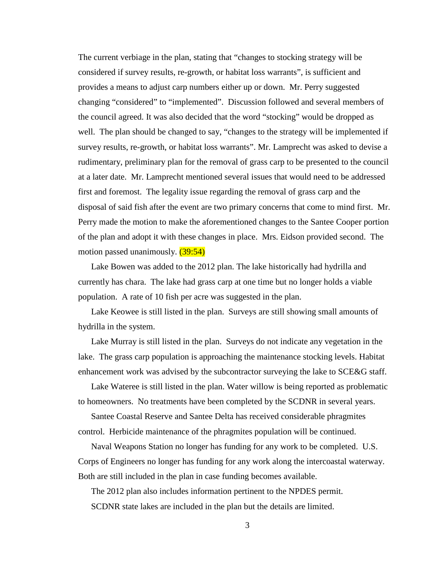The current verbiage in the plan, stating that "changes to stocking strategy will be considered if survey results, re-growth, or habitat loss warrants", is sufficient and provides a means to adjust carp numbers either up or down. Mr. Perry suggested changing "considered" to "implemented". Discussion followed and several members of the council agreed. It was also decided that the word "stocking" would be dropped as well. The plan should be changed to say, "changes to the strategy will be implemented if survey results, re-growth, or habitat loss warrants". Mr. Lamprecht was asked to devise a rudimentary, preliminary plan for the removal of grass carp to be presented to the council at a later date. Mr. Lamprecht mentioned several issues that would need to be addressed first and foremost. The legality issue regarding the removal of grass carp and the disposal of said fish after the event are two primary concerns that come to mind first. Mr. Perry made the motion to make the aforementioned changes to the Santee Cooper portion of the plan and adopt it with these changes in place. Mrs. Eidson provided second. The motion passed unanimously. (39:54)

Lake Bowen was added to the 2012 plan. The lake historically had hydrilla and currently has chara. The lake had grass carp at one time but no longer holds a viable population. A rate of 10 fish per acre was suggested in the plan.

Lake Keowee is still listed in the plan. Surveys are still showing small amounts of hydrilla in the system.

Lake Murray is still listed in the plan. Surveys do not indicate any vegetation in the lake. The grass carp population is approaching the maintenance stocking levels. Habitat enhancement work was advised by the subcontractor surveying the lake to SCE&G staff.

Lake Wateree is still listed in the plan. Water willow is being reported as problematic to homeowners. No treatments have been completed by the SCDNR in several years.

Santee Coastal Reserve and Santee Delta has received considerable phragmites control. Herbicide maintenance of the phragmites population will be continued.

Naval Weapons Station no longer has funding for any work to be completed. U.S. Corps of Engineers no longer has funding for any work along the intercoastal waterway. Both are still included in the plan in case funding becomes available.

The 2012 plan also includes information pertinent to the NPDES permit. SCDNR state lakes are included in the plan but the details are limited.